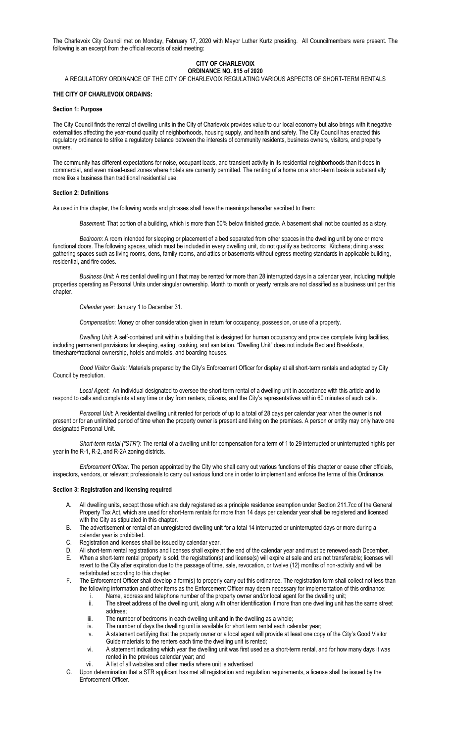The Charlevoix City Council met on Monday, February 17, 2020 with Mayor Luther Kurtz presiding. All Councilmembers were present. The following is an excerpt from the official records of said meeting:

### **CITY OF CHARLEVOIX ORDINANCE NO. 815 of 2020**

A REGULATORY ORDINANCE OF THE CITY OF CHARLEVOIX REGULATING VARIOUS ASPECTS OF SHORT-TERM RENTALS

#### **THE CITY OF CHARLEVOIX ORDAINS:**

### **Section 1: Purpose**

The City Council finds the rental of dwelling units in the City of Charlevoix provides value to our local economy but also brings with it negative externalities affecting the year-round quality of neighborhoods, housing supply, and health and safety. The City Council has enacted this regulatory ordinance to strike a regulatory balance between the interests of community residents, business owners, visitors, and property owners.

The community has different expectations for noise, occupant loads, and transient activity in its residential neighborhoods than it does in commercial, and even mixed-used zones where hotels are currently permitted. The renting of a home on a short-term basis is substantially more like a business than traditional residential use.

#### **Section 2: Definitions**

As used in this chapter, the following words and phrases shall have the meanings hereafter ascribed to them:

*Basement*: That portion of a building, which is more than 50% below finished grade. A basement shall not be counted as a story.

*Bedroom*: A room intended for sleeping or placement of a bed separated from other spaces in the dwelling unit by one or more functional doors. The following spaces, which must be included in every dwelling unit, do not qualify as bedrooms: Kitchens; dining areas; gathering spaces such as living rooms, dens, family rooms, and attics or basements without egress meeting standards in applicable building, residential, and fire codes.

*Business Unit*: A residential dwelling unit that may be rented for more than 28 interrupted days in a calendar year, including multiple properties operating as Personal Units under singular ownership. Month to month or yearly rentals are not classified as a business unit per this chapter.

*Calendar year*: January 1 to December 31.

*Compensation*: Money or other consideration given in return for occupancy, possession, or use of a property.

*Dwelling Unit*: A self-contained unit within a building that is designed for human occupancy and provides complete living facilities, including permanent provisions for sleeping, eating, cooking, and sanitation. "Dwelling Unit" does not include Bed and Breakfasts, timeshare/fractional ownership, hotels and motels, and boarding houses.

*Good Visitor Guide*: Materials prepared by the City's Enforcement Officer for display at all short-term rentals and adopted by City Council by resolution.

*Local Agent*: An individual designated to oversee the short-term rental of a dwelling unit in accordance with this article and to respond to calls and complaints at any time or day from renters, citizens, and the City's representatives within 60 minutes of such calls.

*Personal Unit*: A residential dwelling unit rented for periods of up to a total of 28 days per calendar year when the owner is not present or for an unlimited period of time when the property owner is present and living on the premises. A person or entity may only have one designated Personal Unit.

*Short-term rental ("STR")*: The rental of a dwelling unit for compensation for a term of 1 to 29 interrupted or uninterrupted nights per year in the R-1, R-2, and R-2A zoning districts.

*Enforcement Officer:* The person appointed by the City who shall carry out various functions of this chapter or cause other officials, inspectors, vendors, or relevant professionals to carry out various functions in order to implement and enforce the terms of this Ordinance.

#### **Section 3: Registration and licensing required**

- A. All dwelling units, except those which are duly registered as a principle residence exemption under Section 211.7cc of the General Property Tax Act, which are used for short-term rentals for more than 14 days per calendar year shall be registered and licensed with the City as stipulated in this chapter.
- B. The advertisement or rental of an unregistered dwelling unit for a total 14 interrupted or uninterrupted days or more during a calendar year is prohibited.
- C. Registration and licenses shall be issued by calendar year.
- D. All short-term rental registrations and licenses shall expire at the end of the calendar year and must be renewed each December. E. When a short-term rental property is sold, the registration(s) and license(s) will expire at sale and are not transferable; licenses will revert to the City after expiration due to the passage of time, sale, revocation, or twelve (12) months of non-activity and will be redistributed according to this chapter.
- F. The Enforcement Officer shall develop a form(s) to properly carry out this ordinance. The registration form shall collect not less than the following information and other items as the Enforcement Officer may deem necessary for implementation of this ordinance:
	- i. Name, address and telephone number of the property owner and/or local agent for the dwelling unit;<br>ii. The street address of the dwelling unit, along with other identification if more than one dwelling unit h
	- The street address of the dwelling unit, along with other identification if more than one dwelling unit has the same street address;
	- iii. The number of bedrooms in each dwelling unit and in the dwelling as a whole;
	- iv. The number of days the dwelling unit is available for short term rental each calendar year;
	- v. A statement certifying that the property owner or a local agent will provide at least one copy of the City's Good Visitor Guide materials to the renters each time the dwelling unit is rented;
	- vi. A statement indicating which year the dwelling unit was first used as a short-term rental, and for how many days it was rented in the previous calendar year; and
	- vii. A list of all websites and other media where unit is advertised
- G. Upon determination that a STR applicant has met all registration and regulation requirements, a license shall be issued by the Enforcement Officer.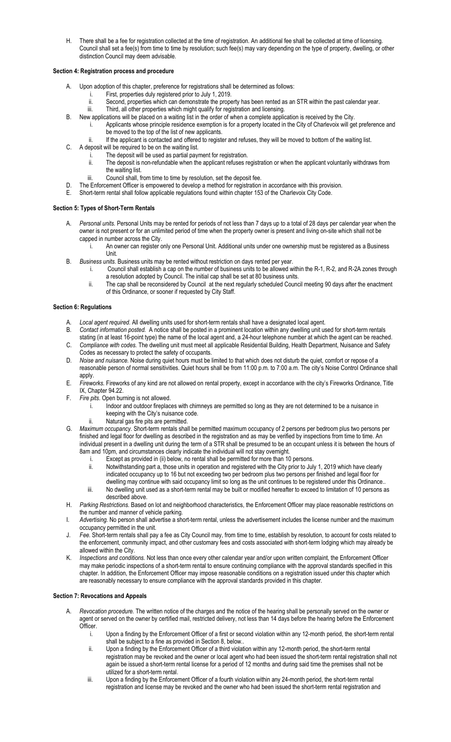H. There shall be a fee for registration collected at the time of registration. An additional fee shall be collected at time of licensing. Council shall set a fee(s) from time to time by resolution; such fee(s) may vary depending on the type of property, dwelling, or other distinction Council may deem advisable.

## **Section 4: Registration process and procedure**

- Upon adoption of this chapter, preference for registrations shall be determined as follows:
	- i. First, properties duly registered prior to July 1, 2019.
	- ii. Second, properties which can demonstrate the property has been rented as an STR within the past calendar year.<br>iii. Third all other properties which might qualify for registration and licensing Third, all other properties which might qualify for registration and licensing.
- B. New applications will be placed on a waiting list in the order of when a complete application is received by the City.
	- i. Applicants whose principle residence exemption is for a property located in the City of Charlevoix will get preference and be moved to the top of the list of new applicants.
	- ii. If the applicant is contacted and offered to register and refuses, they will be moved to bottom of the waiting list.
- C. A deposit will be required to be on the waiting list.
	- i. The deposit will be used as partial payment for registration.<br>ii. The deposit is non-refundable when the applicant refuses re
	- The deposit is non-refundable when the applicant refuses registration or when the applicant voluntarily withdraws from the waiting list.
	- iii. Council shall, from time to time by resolution, set the deposit fee.
- D. The Enforcement Officer is empowered to develop a method for registration in accordance with this provision.<br>E. Short-term rental shall follow applicable requilations found within chapter 153 of the Charlevoix City Code
- Short-term rental shall follow applicable regulations found within chapter 153 of the Charlevoix City Code.

# **Section 5: Types of Short-Term Rentals**

- A. *Personal units.* Personal Units may be rented for periods of not less than 7 days up to a total of 28 days per calendar year when the owner is not present or for an unlimited period of time when the property owner is present and living on-site which shall not be capped in number across the City.
	- i. An owner can register only one Personal Unit. Additional units under one ownership must be registered as a Business Unit.
- B. *Business units*. Business units may be rented without restriction on days rented per year.
	- i. Council shall establish a cap on the number of business units to be allowed within the R-1, R-2, and R-2A zones through a resolution adopted by Council. The initial cap shall be set at 80 business units.
		- ii. The cap shall be reconsidered by Council at the next regularly scheduled Council meeting 90 days after the enactment of this Ordinance, or sooner if requested by City Staff.

### **Section 6: Regulations**

- A. *Local agent required.* All dwelling units used for short-term rentals shall have a designated local agent.
- B. *Contact information posted.* A notice shall be posted in a prominent location within any dwelling unit used for short-term rentals
- stating (in at least 16-point type) the name of the local agent and, a 24-hour telephone number at which the agent can be reached. C. *Compliance with codes.* The dwelling unit must meet all applicable Residential Building, Health Department, Nuisance and Safety Codes as necessary to protect the safety of occupants.
- D. *Noise and nuisance.* Noise during quiet hours must be limited to that which does not disturb the quiet, comfort or repose of a reasonable person of normal sensitivities. Quiet hours shall be from 11:00 p.m. to 7:00 a.m. The city's Noise Control Ordinance shall apply.
- E. *Fireworks.* Fireworks of any kind are not allowed on rental property, except in accordance with the city's Fireworks Ordinance, Title IX, Chapter 94.22.
- F. *Fire pits.* Open burning is not allowed.
	- Indoor and outdoor fireplaces with chimneys are permitted so long as they are not determined to be a nuisance in keeping with the City's nuisance code.
	- ii. Natural gas fire pits are permitted.
- G. *Maximum occupancy.* Short-term rentals shall be permitted maximum occupancy of 2 persons per bedroom plus two persons per finished and legal floor for dwelling as described in the registration and as may be verified by inspections from time to time. An individual present in a dwelling unit during the term of a STR shall be presumed to be an occupant unless it is between the hours of 8am and 10pm, and circumstances clearly indicate the individual will not stay overnight.
	- i. Except as provided in (ii) below, no rental shall be permitted for more than 10 persons.
	- ii. Notwithstanding part a, those units in operation and registered with the City prior to July 1, 2019 which have clearly indicated occupancy up to 16 but not exceeding two per bedroom plus two persons per finished and legal floor for dwelling may continue with said occupancy limit so long as the unit continues to be registered under this Ordinance..
	- iii. No dwelling unit used as a short-term rental may be built or modified hereafter to exceed to limitation of 10 persons as described above.
- H. *Parking Restrictions.* Based on lot and neighborhood characteristics, the Enforcement Officer may place reasonable restrictions on the number and manner of vehicle parking.
- I. *Advertising.* No person shall advertise a short-term rental, unless the advertisement includes the license number and the maximum occupancy permitted in the unit.
- J. *Fee.* Short-term rentals shall pay a fee as City Council may, from time to time, establish by resolution, to account for costs related to the enforcement, community impact, and other customary fees and costs associated with short-term lodging which may already be allowed within the City.
- K. *Inspections and conditions.* Not less than once every other calendar year and/or upon written complaint, the Enforcement Officer may make periodic inspections of a short-term rental to ensure continuing compliance with the approval standards specified in this chapter. In addition, the Enforcement Officer may impose reasonable conditions on a registration issued under this chapter which are reasonably necessary to ensure compliance with the approval standards provided in this chapter.

# **Section 7: Revocations and Appeals**

- A. *Revocation procedure.* The written notice of the charges and the notice of the hearing shall be personally served on the owner or agent or served on the owner by certified mail, restricted delivery, not less than 14 days before the hearing before the Enforcement Officer.
	- i. Upon a finding by the Enforcement Officer of a first or second violation within any 12-month period, the short-term rental shall be subject to a fine as provided in Section 8, below..
	- ii. Upon a finding by the Enforcement Officer of a third violation within any 12-month period, the short-term rental registration may be revoked and the owner or local agent who had been issued the short-term rental registration shall not again be issued a short-term rental license for a period of 12 months and during said time the premises shall not be utilized for a short-term rental.
	- iii. Upon a finding by the Enforcement Officer of a fourth violation within any 24-month period, the short-term rental registration and license may be revoked and the owner who had been issued the short-term rental registration and